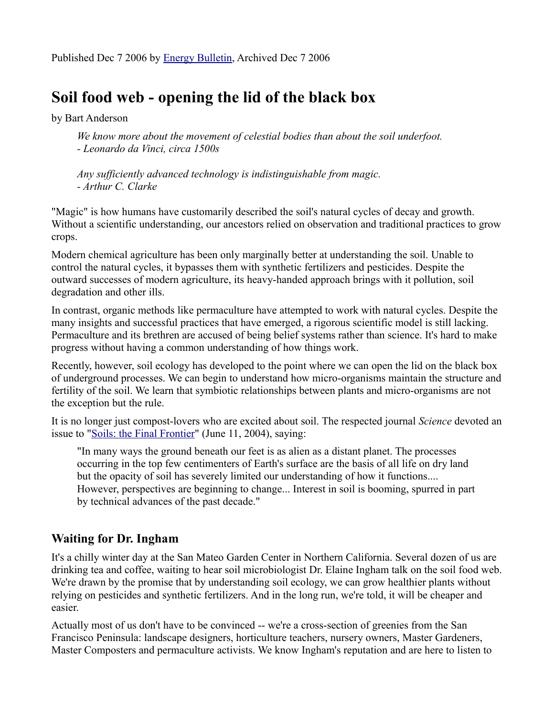# **Soil food web - opening the lid of the black box**

by Bart Anderson

*We know more about the movement of celestial bodies than about the soil underfoot. - Leonardo da Vinci, circa 1500s*

*Any sufficiently advanced technology is indistinguishable from magic. - Arthur C. Clarke*

"Magic" is how humans have customarily described the soil's natural cycles of decay and growth. Without a scientific understanding, our ancestors relied on observation and traditional practices to grow crops.

Modern chemical agriculture has been only marginally better at understanding the soil. Unable to control the natural cycles, it bypasses them with synthetic fertilizers and pesticides. Despite the outward successes of modern agriculture, its heavy-handed approach brings with it pollution, soil degradation and other ills.

In contrast, organic methods like permaculture have attempted to work with natural cycles. Despite the many insights and successful practices that have emerged, a rigorous scientific model is still lacking. Permaculture and its brethren are accused of being belief systems rather than science. It's hard to make progress without having a common understanding of how things work.

Recently, however, soil ecology has developed to the point where we can open the lid on the black box of underground processes. We can begin to understand how micro-organisms maintain the structure and fertility of the soil. We learn that symbiotic relationships between plants and micro-organisms are not the exception but the rule.

It is no longer just compost-lovers who are excited about soil. The respected journal *Science* devoted an issue to ["Soils: the Final Frontier"](http://www.sciencemag.org/cgi/content/summary/304/5677/1613) (June 11, 2004), saying:

"In many ways the ground beneath our feet is as alien as a distant planet. The processes occurring in the top few centimenters of Earth's surface are the basis of all life on dry land but the opacity of soil has severely limited our understanding of how it functions.... However, perspectives are beginning to change... Interest in soil is booming, spurred in part by technical advances of the past decade."

# **Waiting for Dr. Ingham**

It's a chilly winter day at the San Mateo Garden Center in Northern California. Several dozen of us are drinking tea and coffee, waiting to hear soil microbiologist Dr. Elaine Ingham talk on the soil food web. We're drawn by the promise that by understanding soil ecology, we can grow healthier plants without relying on pesticides and synthetic fertilizers. And in the long run, we're told, it will be cheaper and easier.

Actually most of us don't have to be convinced -- we're a cross-section of greenies from the San Francisco Peninsula: landscape designers, horticulture teachers, nursery owners, Master Gardeners, Master Composters and permaculture activists. We know Ingham's reputation and are here to listen to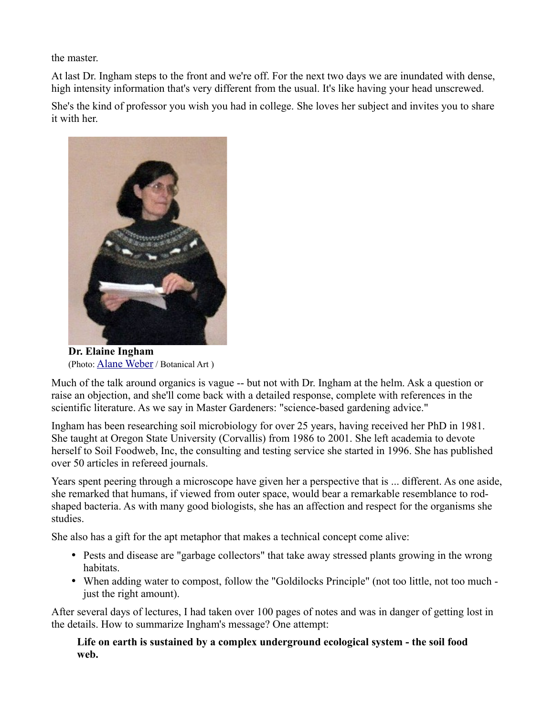the master.

At last Dr. Ingham steps to the front and we're off. For the next two days we are inundated with dense, high intensity information that's very different from the usual. It's like having your head unscrewed.

She's the kind of professor you wish you had in college. She loves her subject and invites you to share it with her.



**Dr. Elaine Ingham** (Photo: [Alane Weber](http://www.recycleworks.org/compost/mc_alane.html) / Botanical Art )

Much of the talk around organics is vague -- but not with Dr. Ingham at the helm. Ask a question or raise an objection, and she'll come back with a detailed response, complete with references in the scientific literature. As we say in Master Gardeners: "science-based gardening advice."

Ingham has been researching soil microbiology for over 25 years, having received her PhD in 1981. She taught at Oregon State University (Corvallis) from 1986 to 2001. She left academia to devote herself to Soil Foodweb, Inc, the consulting and testing service she started in 1996. She has published over 50 articles in refereed journals.

Years spent peering through a microscope have given her a perspective that is ... different. As one aside, she remarked that humans, if viewed from outer space, would bear a remarkable resemblance to rodshaped bacteria. As with many good biologists, she has an affection and respect for the organisms she studies.

She also has a gift for the apt metaphor that makes a technical concept come alive:

- Pests and disease are "garbage collectors" that take away stressed plants growing in the wrong habitats.
- When adding water to compost, follow the "Goldilocks Principle" (not too little, not too much just the right amount).

After several days of lectures, I had taken over 100 pages of notes and was in danger of getting lost in the details. How to summarize Ingham's message? One attempt:

**Life on earth is sustained by a complex underground ecological system - the soil food web.**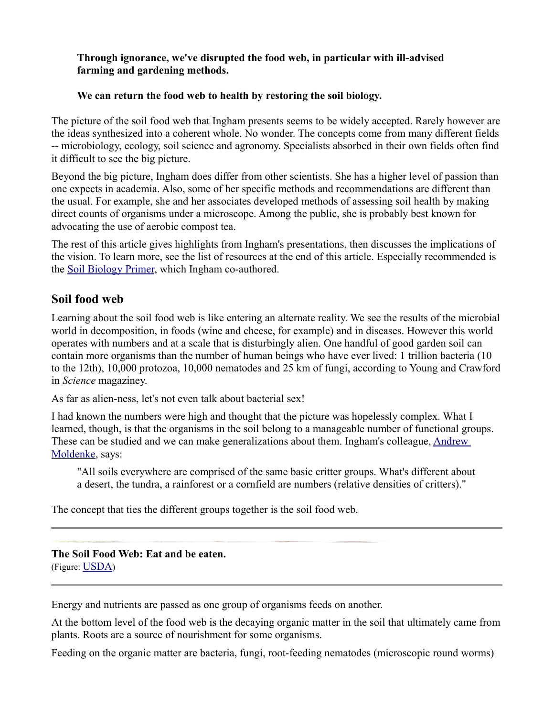#### **Through ignorance, we've disrupted the food web, in particular with ill-advised farming and gardening methods.**

#### **We can return the food web to health by restoring the soil biology.**

The picture of the soil food web that Ingham presents seems to be widely accepted. Rarely however are the ideas synthesized into a coherent whole. No wonder. The concepts come from many different fields -- microbiology, ecology, soil science and agronomy. Specialists absorbed in their own fields often find it difficult to see the big picture.

Beyond the big picture, Ingham does differ from other scientists. She has a higher level of passion than one expects in academia. Also, some of her specific methods and recommendations are different than the usual. For example, she and her associates developed methods of assessing soil health by making direct counts of organisms under a microscope. Among the public, she is probably best known for advocating the use of aerobic compost tea.

The rest of this article gives highlights from Ingham's presentations, then discusses the implications of the vision. To learn more, see the list of resources at the end of this article. Especially recommended is the [Soil Biology Primer,](http://soils.usda.gov/sqi/concepts/soil_biology/biology.html) which Ingham co-authored.

### **Soil food web**

Learning about the soil food web is like entering an alternate reality. We see the results of the microbial world in decomposition, in foods (wine and cheese, for example) and in diseases. However this world operates with numbers and at a scale that is disturbingly alien. One handful of good garden soil can contain more organisms than the number of human beings who have ever lived: 1 trillion bacteria (10 to the 12th), 10,000 protozoa, 10,000 nematodes and 25 km of fungi, according to Young and Crawford in *Science* magaziney.

As far as alien-ness, let's not even talk about bacterial sex!

I had known the numbers were high and thought that the picture was hopelessly complex. What I learned, though, is that the organisms in the soil belong to a manageable number of functional groups. These can be studied and we can make generalizations about them. Ingham's colleague, [Andrew](http://www.puyallup.wsu.edu/soilmgmt/Slideshows/SS-SoilBiolWS/AndyM.pdf) [Moldenke,](http://www.puyallup.wsu.edu/soilmgmt/Slideshows/SS-SoilBiolWS/AndyM.pdf) says:

"All soils everywhere are comprised of the same basic critter groups. What's different about a desert, the tundra, a rainforest or a cornfield are numbers (relative densities of critters)."

The concept that ties the different groups together is the soil food web.

**The Soil Food Web: Eat and be eaten.**

(Figure: [USDA](http://soils.usda.gov/sqi/concepts/soil_biology/biology.html))

Energy and nutrients are passed as one group of organisms feeds on another.

At the bottom level of the food web is the decaying organic matter in the soil that ultimately came from plants. Roots are a source of nourishment for some organisms.

Feeding on the organic matter are bacteria, fungi, root-feeding nematodes (microscopic round worms)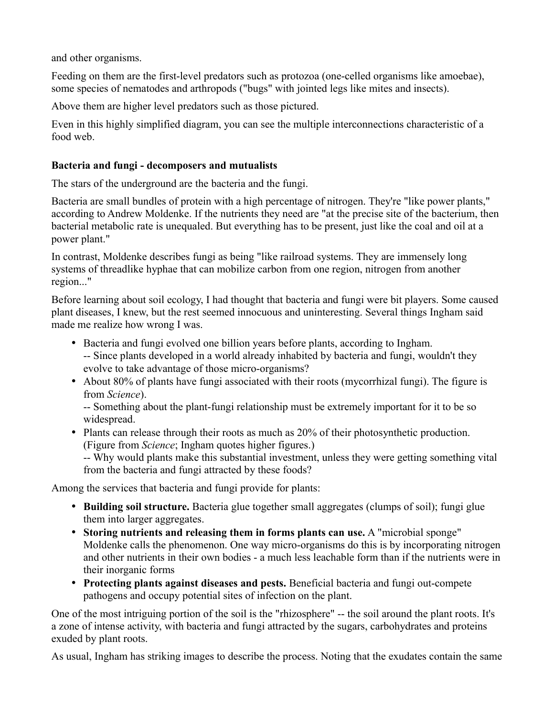and other organisms.

Feeding on them are the first-level predators such as protozoa (one-celled organisms like amoebae), some species of nematodes and arthropods ("bugs" with jointed legs like mites and insects).

Above them are higher level predators such as those pictured.

Even in this highly simplified diagram, you can see the multiple interconnections characteristic of a food web.

#### **Bacteria and fungi - decomposers and mutualists**

The stars of the underground are the bacteria and the fungi.

Bacteria are small bundles of protein with a high percentage of nitrogen. They're "like power plants," according to Andrew Moldenke. If the nutrients they need are "at the precise site of the bacterium, then bacterial metabolic rate is unequaled. But everything has to be present, just like the coal and oil at a power plant."

In contrast, Moldenke describes fungi as being "like railroad systems. They are immensely long systems of threadlike hyphae that can mobilize carbon from one region, nitrogen from another region..."

Before learning about soil ecology, I had thought that bacteria and fungi were bit players. Some caused plant diseases, I knew, but the rest seemed innocuous and uninteresting. Several things Ingham said made me realize how wrong I was.

- Bacteria and fungi evolved one billion years before plants, according to Ingham. -- Since plants developed in a world already inhabited by bacteria and fungi, wouldn't they evolve to take advantage of those micro-organisms?
- About 80% of plants have fungi associated with their roots (mycorrhizal fungi). The figure is from *Science*).

-- Something about the plant-fungi relationship must be extremely important for it to be so widespread.

• Plants can release through their roots as much as 20% of their photosynthetic production. (Figure from *Science*; Ingham quotes higher figures.)

-- Why would plants make this substantial investment, unless they were getting something vital from the bacteria and fungi attracted by these foods?

Among the services that bacteria and fungi provide for plants:

- **Building soil structure.** Bacteria glue together small aggregates (clumps of soil); fungi glue them into larger aggregates.
- **Storing nutrients and releasing them in forms plants can use.** A "microbial sponge" Moldenke calls the phenomenon. One way micro-organisms do this is by incorporating nitrogen and other nutrients in their own bodies - a much less leachable form than if the nutrients were in their inorganic forms
- **Protecting plants against diseases and pests.** Beneficial bacteria and fungi out-compete pathogens and occupy potential sites of infection on the plant.

One of the most intriguing portion of the soil is the "rhizosphere" -- the soil around the plant roots. It's a zone of intense activity, with bacteria and fungi attracted by the sugars, carbohydrates and proteins exuded by plant roots.

As usual, Ingham has striking images to describe the process. Noting that the exudates contain the same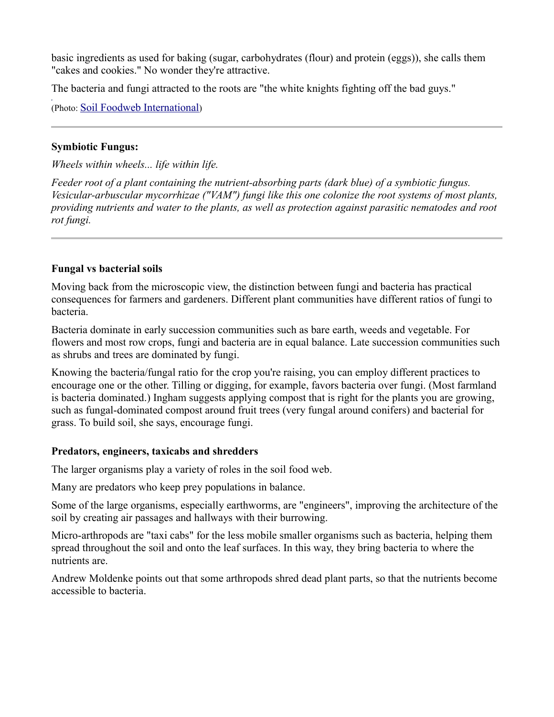basic ingredients as used for baking (sugar, carbohydrates (flour) and protein (eggs)), she calls them "cakes and cookies." No wonder they're attractive.

The bacteria and fungi attracted to the roots are "the white knights fighting off the bad guys."

(Photo: [Soil Foodweb International](http://www.soilfoodweb.com/03_about_us/microscope_pics.html))

#### **Symbiotic Fungus:**

*Wheels within wheels... life within life.* 

*Feeder root of a plant containing the nutrient-absorbing parts (dark blue) of a symbiotic fungus. Vesicular-arbuscular mycorrhizae ("VAM") fungi like this one colonize the root systems of most plants, providing nutrients and water to the plants, as well as protection against parasitic nematodes and root rot fungi.*

#### **Fungal vs bacterial soils**

Moving back from the microscopic view, the distinction between fungi and bacteria has practical consequences for farmers and gardeners. Different plant communities have different ratios of fungi to bacteria.

Bacteria dominate in early succession communities such as bare earth, weeds and vegetable. For flowers and most row crops, fungi and bacteria are in equal balance. Late succession communities such as shrubs and trees are dominated by fungi.

Knowing the bacteria/fungal ratio for the crop you're raising, you can employ different practices to encourage one or the other. Tilling or digging, for example, favors bacteria over fungi. (Most farmland is bacteria dominated.) Ingham suggests applying compost that is right for the plants you are growing, such as fungal-dominated compost around fruit trees (very fungal around conifers) and bacterial for grass. To build soil, she says, encourage fungi.

#### **Predators, engineers, taxicabs and shredders**

The larger organisms play a variety of roles in the soil food web.

Many are predators who keep prey populations in balance.

Some of the large organisms, especially earthworms, are "engineers", improving the architecture of the soil by creating air passages and hallways with their burrowing.

Micro-arthropods are "taxi cabs" for the less mobile smaller organisms such as bacteria, helping them spread throughout the soil and onto the leaf surfaces. In this way, they bring bacteria to where the nutrients are.

Andrew Moldenke points out that some arthropods shred dead plant parts, so that the nutrients become accessible to bacteria.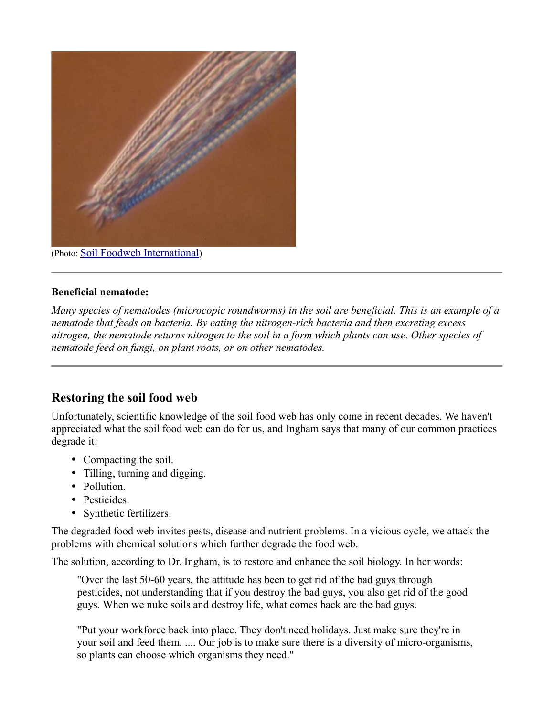

(Photo: [Soil Foodweb International](http://www.soilfoodweb.com/03_about_us/microscope_pics.html))

#### **Beneficial nematode:**

*Many species of nematodes (microcopic roundworms) in the soil are beneficial. This is an example of a nematode that feeds on bacteria. By eating the nitrogen-rich bacteria and then excreting excess nitrogen, the nematode returns nitrogen to the soil in a form which plants can use. Other species of nematode feed on fungi, on plant roots, or on other nematodes.*

## **Restoring the soil food web**

Unfortunately, scientific knowledge of the soil food web has only come in recent decades. We haven't appreciated what the soil food web can do for us, and Ingham says that many of our common practices degrade it:

- Compacting the soil.
- Tilling, turning and digging.
- Pollution.
- Pesticides
- Synthetic fertilizers.

The degraded food web invites pests, disease and nutrient problems. In a vicious cycle, we attack the problems with chemical solutions which further degrade the food web.

The solution, according to Dr. Ingham, is to restore and enhance the soil biology. In her words:

"Over the last 50-60 years, the attitude has been to get rid of the bad guys through pesticides, not understanding that if you destroy the bad guys, you also get rid of the good guys. When we nuke soils and destroy life, what comes back are the bad guys.

"Put your workforce back into place. They don't need holidays. Just make sure they're in your soil and feed them. .... Our job is to make sure there is a diversity of micro-organisms, so plants can choose which organisms they need."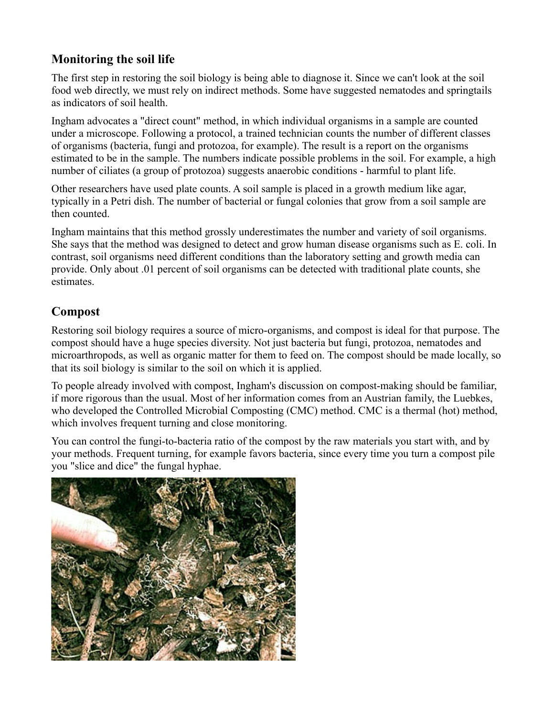# **Monitoring the soil life**

The first step in restoring the soil biology is being able to diagnose it. Since we can't look at the soil food web directly, we must rely on indirect methods. Some have suggested nematodes and springtails as indicators of soil health.

Ingham advocates a "direct count" method, in which individual organisms in a sample are counted under a microscope. Following a protocol, a trained technician counts the number of different classes of organisms (bacteria, fungi and protozoa, for example). The result is a report on the organisms estimated to be in the sample. The numbers indicate possible problems in the soil. For example, a high number of ciliates (a group of protozoa) suggests anaerobic conditions - harmful to plant life.

Other researchers have used plate counts. A soil sample is placed in a growth medium like agar, typically in a Petri dish. The number of bacterial or fungal colonies that grow from a soil sample are then counted.

Ingham maintains that this method grossly underestimates the number and variety of soil organisms. She says that the method was designed to detect and grow human disease organisms such as E. coli. In contrast, soil organisms need different conditions than the laboratory setting and growth media can provide. Only about .01 percent of soil organisms can be detected with traditional plate counts, she estimates.

# **Compost**

Restoring soil biology requires a source of micro-organisms, and compost is ideal for that purpose. The compost should have a huge species diversity. Not just bacteria but fungi, protozoa, nematodes and microarthropods, as well as organic matter for them to feed on. The compost should be made locally, so that its soil biology is similar to the soil on which it is applied.

To people already involved with compost, Ingham's discussion on compost-making should be familiar, if more rigorous than the usual. Most of her information comes from an Austrian family, the Luebkes, who developed the Controlled Microbial Composting (CMC) method. CMC is a thermal (hot) method, which involves frequent turning and close monitoring.

You can control the fungi-to-bacteria ratio of the compost by the raw materials you start with, and by your methods. Frequent turning, for example favors bacteria, since every time you turn a compost pile you "slice and dice" the fungal hyphae.

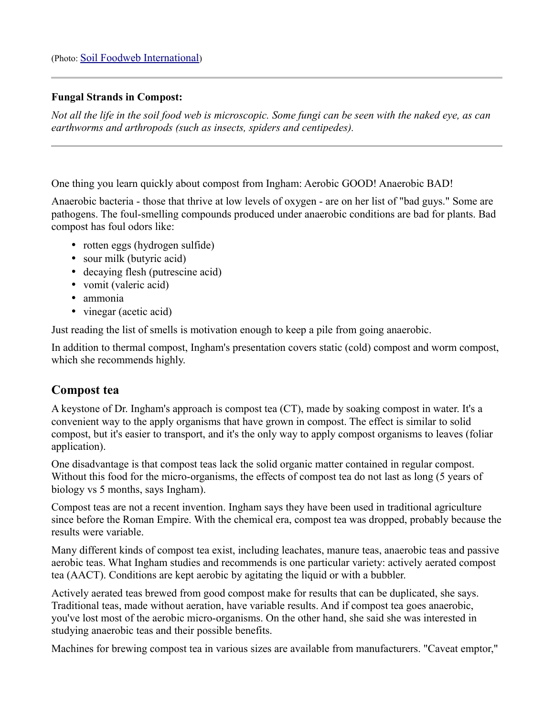#### **Fungal Strands in Compost:**

*Not all the life in the soil food web is microscopic. Some fungi can be seen with the naked eye, as can earthworms and arthropods (such as insects, spiders and centipedes).*

One thing you learn quickly about compost from Ingham: Aerobic GOOD! Anaerobic BAD!

Anaerobic bacteria - those that thrive at low levels of oxygen - are on her list of "bad guys." Some are pathogens. The foul-smelling compounds produced under anaerobic conditions are bad for plants. Bad compost has foul odors like:

- rotten eggs (hydrogen sulfide)
- sour milk (butyric acid)
- decaying flesh (putrescine acid)
- vomit (valeric acid)
- ammonia
- vinegar (acetic acid)

Just reading the list of smells is motivation enough to keep a pile from going anaerobic.

In addition to thermal compost, Ingham's presentation covers static (cold) compost and worm compost, which she recommends highly.

### **Compost tea**

A keystone of Dr. Ingham's approach is compost tea (CT), made by soaking compost in water. It's a convenient way to the apply organisms that have grown in compost. The effect is similar to solid compost, but it's easier to transport, and it's the only way to apply compost organisms to leaves (foliar application).

One disadvantage is that compost teas lack the solid organic matter contained in regular compost. Without this food for the micro-organisms, the effects of compost tea do not last as long (5 years of biology vs 5 months, says Ingham).

Compost teas are not a recent invention. Ingham says they have been used in traditional agriculture since before the Roman Empire. With the chemical era, compost tea was dropped, probably because the results were variable.

Many different kinds of compost tea exist, including leachates, manure teas, anaerobic teas and passive aerobic teas. What Ingham studies and recommends is one particular variety: actively aerated compost tea (AACT). Conditions are kept aerobic by agitating the liquid or with a bubbler.

Actively aerated teas brewed from good compost make for results that can be duplicated, she says. Traditional teas, made without aeration, have variable results. And if compost tea goes anaerobic, you've lost most of the aerobic micro-organisms. On the other hand, she said she was interested in studying anaerobic teas and their possible benefits.

Machines for brewing compost tea in various sizes are available from manufacturers. "Caveat emptor,"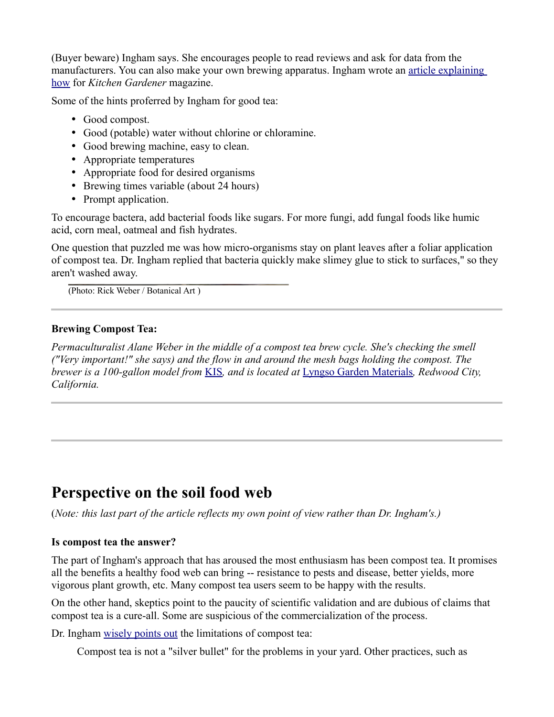(Buyer beware) Ingham says. She encourages people to read reviews and ask for data from the manufacturers. You can also make your own brewing apparatus. Ingham wrote an [article explaining](http://www.taunton.com/finegardening/pages/g00030.asp) [how](http://www.taunton.com/finegardening/pages/g00030.asp) for *Kitchen Gardener* magazine.

Some of the hints proferred by Ingham for good tea:

- Good compost.
- Good (potable) water without chlorine or chloramine.
- Good brewing machine, easy to clean.
- Appropriate temperatures
- Appropriate food for desired organisms
- Brewing times variable (about 24 hours)
- Prompt application.

To encourage bactera, add bacterial foods like sugars. For more fungi, add fungal foods like humic acid, corn meal, oatmeal and fish hydrates.

One question that puzzled me was how micro-organisms stay on plant leaves after a foliar application of compost tea. Dr. Ingham replied that bacteria quickly make slimey glue to stick to surfaces," so they aren't washed away.

(Photo: Rick Weber / Botanical Art )

### **Brewing Compost Tea:**

*Permaculturalist Alane Weber in the middle of a compost tea brew cycle. She's checking the smell ("Very important!" she says) and the flow in and around the mesh bags holding the compost. The brewer is a 100-gallon model from* [KIS](http://www.simplici-tea.com/)*, and is located at* [Lyngso Garden Materials](http://www.lyngsogarden.com/index.cfm?fuseaction=showProductGroup&WebCat=SOILS&WebCatDescr=)*, Redwood City, California.*

# **Perspective on the soil food web**

(*Note: this last part of the article reflects my own point of view rather than Dr. Ingham's.)*

### **Is compost tea the answer?**

The part of Ingham's approach that has aroused the most enthusiasm has been compost tea. It promises all the benefits a healthy food web can bring -- resistance to pests and disease, better yields, more vigorous plant growth, etc. Many compost tea users seem to be happy with the results.

On the other hand, skeptics point to the paucity of scientific validation and are dubious of claims that compost tea is a cure-all. Some are suspicious of the commercialization of the process.

Dr. Ingham [wisely points out](http://www.soilfoodweb.com/01_services/faqs_c_tea.htm) the limitations of compost tea:

Compost tea is not a "silver bullet" for the problems in your yard. Other practices, such as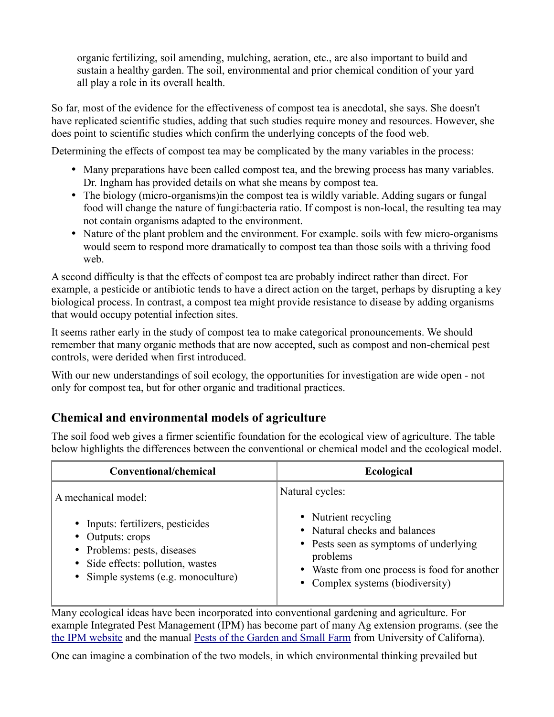organic fertilizing, soil amending, mulching, aeration, etc., are also important to build and sustain a healthy garden. The soil, environmental and prior chemical condition of your yard all play a role in its overall health.

So far, most of the evidence for the effectiveness of compost tea is anecdotal, she says. She doesn't have replicated scientific studies, adding that such studies require money and resources. However, she does point to scientific studies which confirm the underlying concepts of the food web.

Determining the effects of compost tea may be complicated by the many variables in the process:

- Many preparations have been called compost tea, and the brewing process has many variables. Dr. Ingham has provided details on what she means by compost tea.
- The biology (micro-organisms) in the compost tea is wildly variable. Adding sugars or fungal food will change the nature of fungi:bacteria ratio. If compost is non-local, the resulting tea may not contain organisms adapted to the environment.
- Nature of the plant problem and the environment. For example, soils with few micro-organisms would seem to respond more dramatically to compost tea than those soils with a thriving food web.

A second difficulty is that the effects of compost tea are probably indirect rather than direct. For example, a pesticide or antibiotic tends to have a direct action on the target, perhaps by disrupting a key biological process. In contrast, a compost tea might provide resistance to disease by adding organisms that would occupy potential infection sites.

It seems rather early in the study of compost tea to make categorical pronouncements. We should remember that many organic methods that are now accepted, such as compost and non-chemical pest controls, were derided when first introduced.

With our new understandings of soil ecology, the opportunities for investigation are wide open - not only for compost tea, but for other organic and traditional practices.

# **Chemical and environmental models of agriculture**

The soil food web gives a firmer scientific foundation for the ecological view of agriculture. The table below highlights the differences between the conventional or chemical model and the ecological model.

| Conventional/chemical                                                                                                                                                    | <b>Ecological</b>                                                                                                                                                                               |
|--------------------------------------------------------------------------------------------------------------------------------------------------------------------------|-------------------------------------------------------------------------------------------------------------------------------------------------------------------------------------------------|
| A mechanical model:                                                                                                                                                      | Natural cycles:                                                                                                                                                                                 |
| • Inputs: fertilizers, pesticides<br>$\bullet$ Outputs: crops<br>• Problems: pests, diseases<br>• Side effects: pollution, wastes<br>• Simple systems (e.g. monoculture) | • Nutrient recycling<br>• Natural checks and balances<br>• Pests seen as symptoms of underlying<br>problems<br>• Waste from one process is food for another<br>• Complex systems (biodiversity) |

Many ecological ideas have been incorporated into conventional gardening and agriculture. For example Integrated Pest Management (IPM) has become part of many Ag extension programs. (see the [the IPM website](http://www.ipm.ucdavis.edu/) and the manual [Pests of the Garden and Small Farm](http://www.ipm.ucdavis.edu/IPMPROJECT/ADS/manual_gardenfarms.html) from University of Californa).

One can imagine a combination of the two models, in which environmental thinking prevailed but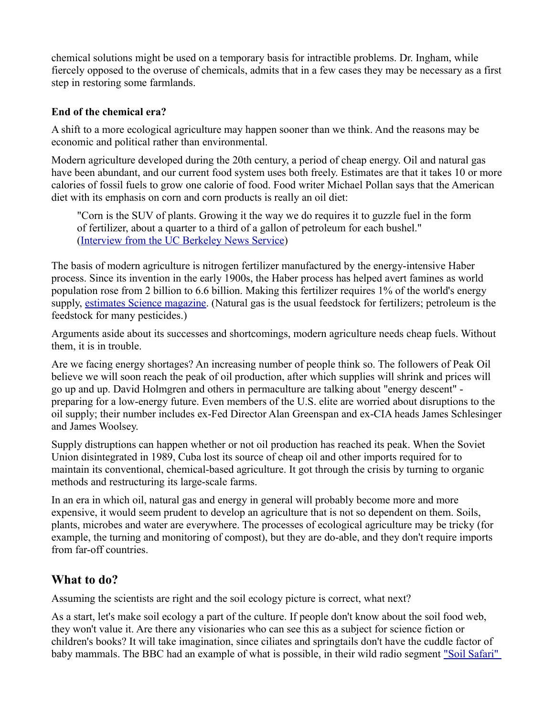chemical solutions might be used on a temporary basis for intractible problems. Dr. Ingham, while fiercely opposed to the overuse of chemicals, admits that in a few cases they may be necessary as a first step in restoring some farmlands.

#### **End of the chemical era?**

A shift to a more ecological agriculture may happen sooner than we think. And the reasons may be economic and political rather than environmental.

Modern agriculture developed during the 20th century, a period of cheap energy. Oil and natural gas have been abundant, and our current food system uses both freely. Estimates are that it takes 10 or more calories of fossil fuels to grow one calorie of food. Food writer Michael Pollan says that the American diet with its emphasis on corn and corn products is really an oil diet:

"Corn is the SUV of plants. Growing it the way we do requires it to guzzle fuel in the form of fertilizer, about a quarter to a third of a gallon of petroleum for each bushel." [\(Interview from the UC Berkeley News Service\)](http://www.berkeley.edu/news/media/releases/2006/04/11_pollan.shtml)

The basis of modern agriculture is nitrogen fertilizer manufactured by the energy-intensive Haber process. Since its invention in the early 1900s, the Haber process has helped avert famines as world population rose from 2 billion to 6.6 billion. Making this fertilizer requires 1% of the world's energy supply, [estimates Science magazine.](http://en.wikipedia.org/wiki/Haber_process) (Natural gas is the usual feedstock for fertilizers; petroleum is the feedstock for many pesticides.)

Arguments aside about its successes and shortcomings, modern agriculture needs cheap fuels. Without them, it is in trouble.

Are we facing energy shortages? An increasing number of people think so. The followers of Peak Oil believe we will soon reach the peak of oil production, after which supplies will shrink and prices will go up and up. David Holmgren and others in permaculture are talking about "energy descent" preparing for a low-energy future. Even members of the U.S. elite are worried about disruptions to the oil supply; their number includes ex-Fed Director Alan Greenspan and ex-CIA heads James Schlesinger and James Woolsey.

Supply distruptions can happen whether or not oil production has reached its peak. When the Soviet Union disintegrated in 1989, Cuba lost its source of cheap oil and other imports required for to maintain its conventional, chemical-based agriculture. It got through the crisis by turning to organic methods and restructuring its large-scale farms.

In an era in which oil, natural gas and energy in general will probably become more and more expensive, it would seem prudent to develop an agriculture that is not so dependent on them. Soils, plants, microbes and water are everywhere. The processes of ecological agriculture may be tricky (for example, the turning and monitoring of compost), but they are do-able, and they don't require imports from far-off countries.

## **What to do?**

Assuming the scientists are right and the soil ecology picture is correct, what next?

As a start, let's make soil ecology a part of the culture. If people don't know about the soil food web, they won't value it. Are there any visionaries who can see this as a subject for science fiction or children's books? It will take imagination, since ciliates and springtails don't have the cuddle factor of baby mammals. The BBC had an example of what is possible, in their wild radio segment ["Soil Safari"](http://www.bbc.co.uk/radio4/science/underground_20031201.shtml)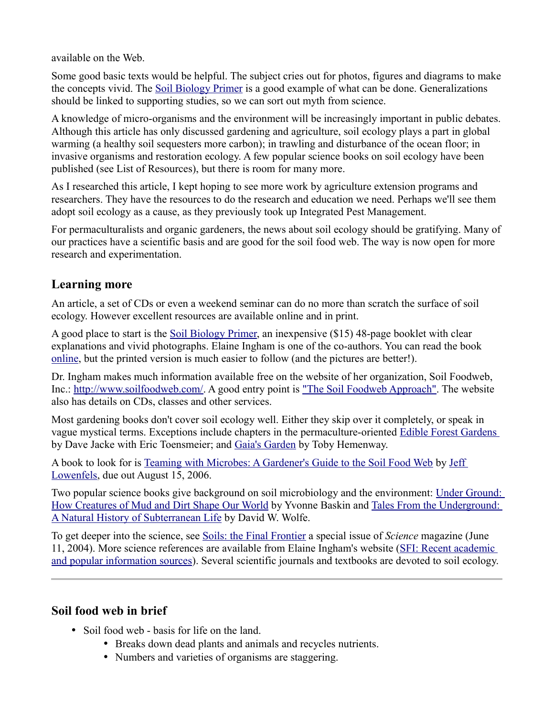available on the Web.

Some good basic texts would be helpful. The subject cries out for photos, figures and diagrams to make the concepts vivid. The [Soil Biology Primer](http://soils.usda.gov/sqi/concepts/soil_biology/biology.html) is a good example of what can be done. Generalizations should be linked to supporting studies, so we can sort out myth from science.

A knowledge of micro-organisms and the environment will be increasingly important in public debates. Although this article has only discussed gardening and agriculture, soil ecology plays a part in global warming (a healthy soil sequesters more carbon); in trawling and disturbance of the ocean floor; in invasive organisms and restoration ecology. A few popular science books on soil ecology have been published (see List of Resources), but there is room for many more.

As I researched this article, I kept hoping to see more work by agriculture extension programs and researchers. They have the resources to do the research and education we need. Perhaps we'll see them adopt soil ecology as a cause, as they previously took up Integrated Pest Management.

For permaculturalists and organic gardeners, the news about soil ecology should be gratifying. Many of our practices have a scientific basis and are good for the soil food web. The way is now open for more research and experimentation.

# **Learning more**

An article, a set of CDs or even a weekend seminar can do no more than scratch the surface of soil ecology. However excellent resources are available online and in print.

A good place to start is the [Soil Biology Primer,](http://soils.usda.gov/sqi/concepts/soil_biology/biology.html) an inexpensive (\$15) 48-page booklet with clear explanations and vivid photographs. Elaine Ingham is one of the co-authors. You can read the book [online,](http://soils.usda.gov/sqi/concepts/soil_biology/biology.html) but the printed version is much easier to follow (and the pictures are better!).

Dr. Ingham makes much information available free on the website of her organization, Soil Foodweb, Inc.: [http://www.soilfoodweb.com/.](http://www.soilfoodweb.com/) A good entry point is ["The Soil Foodweb Approach".](http://www.soilfoodweb.com/03_about_us/approach.html) The website also has details on CDs, classes and other services.

Most gardening books don't cover soil ecology well. Either they skip over it completely, or speak in vague mystical terms. Exceptions include chapters in the permaculture-oriented [Edible Forest Gardens](http://www.chelseagreen.com/2005/items/edibleforestset) by Dave Jacke with Eric Toensmeier; and [Gaia's Garden](http://www.chelseagreen.com/2001/items/gaiasgarden) by Toby Hemenway.

A book to look for is [Teaming with Microbes: A Gardener's Guide to the Soil Food Web](http://www.timberpress.com/books/isbn.cfm/0-88192-777-5/teaming_microbes/lowenfels) by [Jeff](http://www.timberpress.com/media/getAuthorByID.cfm?AuthorID=1262) [Lowenfels,](http://www.timberpress.com/media/getAuthorByID.cfm?AuthorID=1262) due out August 15, 2006.

Two popular science books give background on soil microbiology and the environment: [Under Ground:](http://www.islandpress.org/media/PDF/BaskinPR.pdf) [How Creatures of Mud and Dirt Shape Our World](http://www.islandpress.org/media/PDF/BaskinPR.pdf) by Yvonne Baskin and [Tales From the Underground:](http://www.hort.cornell.edu/department/faculty/wolfe/book.html) [A Natural History of Subterranean Life](http://www.hort.cornell.edu/department/faculty/wolfe/book.html) by David W. Wolfe.

To get deeper into the science, see [Soils: the Final Frontier](http://www.sciencemag.org/cgi/content/summary/304/5677/1613) a special issue of *Science* magazine (June 11, 2004). More science references are available from Elaine Ingham's website [\(SFI: Recent academic](http://www.soilfoodweb.com/03_about_us/approach_pgs/a_10_recent_papers.html) [and popular information sources\)](http://www.soilfoodweb.com/03_about_us/approach_pgs/a_10_recent_papers.html). Several scientific journals and textbooks are devoted to soil ecology.

# **Soil food web in brief**

- Soil food web basis for life on the land.
	- Breaks down dead plants and animals and recycles nutrients.
	- Numbers and varieties of organisms are staggering.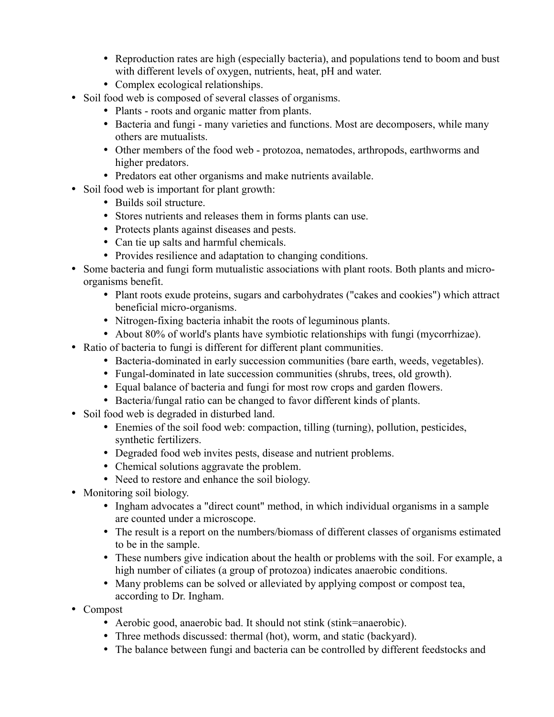- Reproduction rates are high (especially bacteria), and populations tend to boom and bust with different levels of oxygen, nutrients, heat, pH and water.
- Complex ecological relationships.
- Soil food web is composed of several classes of organisms.
	- Plants roots and organic matter from plants.
	- Bacteria and fungi many varieties and functions. Most are decomposers, while many others are mutualists.
	- Other members of the food web protozoa, nematodes, arthropods, earthworms and higher predators.
	- Predators eat other organisms and make nutrients available.
- Soil food web is important for plant growth:
	- Builds soil structure.
	- Stores nutrients and releases them in forms plants can use.
	- Protects plants against diseases and pests.
	- Can tie up salts and harmful chemicals.
	- Provides resilience and adaptation to changing conditions.
- Some bacteria and fungi form mutualistic associations with plant roots. Both plants and microorganisms benefit.
	- Plant roots exude proteins, sugars and carbohydrates ("cakes and cookies") which attract beneficial micro-organisms.
	- Nitrogen-fixing bacteria inhabit the roots of leguminous plants.
	- About 80% of world's plants have symbiotic relationships with fungi (mycorrhizae).
- Ratio of bacteria to fungi is different for different plant communities.
	- Bacteria-dominated in early succession communities (bare earth, weeds, vegetables).
	- Fungal-dominated in late succession communities (shrubs, trees, old growth).
	- Equal balance of bacteria and fungi for most row crops and garden flowers.
	- Bacteria/fungal ratio can be changed to favor different kinds of plants.
- Soil food web is degraded in disturbed land.
	- Enemies of the soil food web: compaction, tilling (turning), pollution, pesticides, synthetic fertilizers.
	- Degraded food web invites pests, disease and nutrient problems.
	- Chemical solutions aggravate the problem.
	- Need to restore and enhance the soil biology.
- Monitoring soil biology.
	- Ingham advocates a "direct count" method, in which individual organisms in a sample are counted under a microscope.
	- The result is a report on the numbers/biomass of different classes of organisms estimated to be in the sample.
	- These numbers give indication about the health or problems with the soil. For example, a high number of ciliates (a group of protozoa) indicates anaerobic conditions.
	- Many problems can be solved or alleviated by applying compost or compost tea, according to Dr. Ingham.
- Compost
	- Aerobic good, anaerobic bad. It should not stink (stink=anaerobic).
	- Three methods discussed: thermal (hot), worm, and static (backyard).
	- The balance between fungi and bacteria can be controlled by different feedstocks and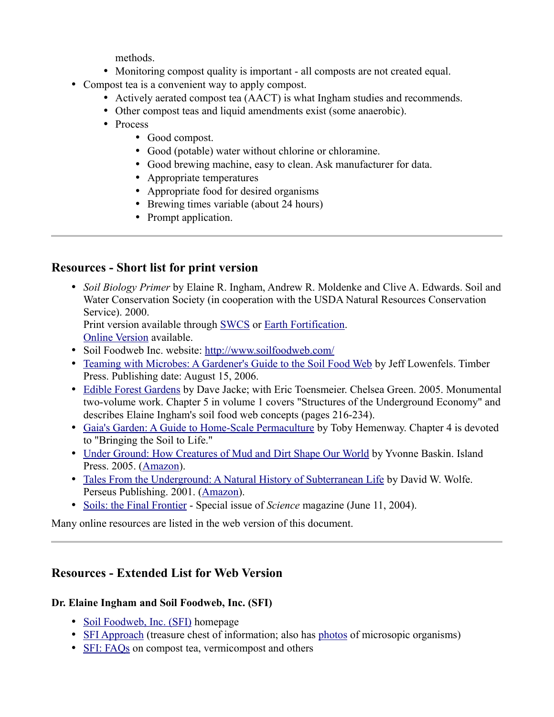methods.

- Monitoring compost quality is important all composts are not created equal.
- Compost tea is a convenient way to apply compost.
	- Actively aerated compost tea (AACT) is what Ingham studies and recommends.
	- Other compost teas and liquid amendments exist (some anaerobic).
	- Process
		- Good compost.
		- Good (potable) water without chlorine or chloramine.
		- Good brewing machine, easy to clean. Ask manufacturer for data.
		- Appropriate temperatures
		- Appropriate food for desired organisms
		- Brewing times variable (about 24 hours)
		- Prompt application.

# **Resources - Short list for print version**

• *Soil Biology Primer* by Elaine R. Ingham, Andrew R. Moldenke and Clive A. Edwards. Soil and Water Conservation Society (in cooperation with the USDA Natural Resources Conservation Service). 2000.

Print version available through [SWCS](http://www.swcs.org/en/publications/books/soil_biology_primer.cfm) or [Earth Fortification.](http://www.earthfort.com/) [Online Version](http://soils.usda.gov/sqi/concepts/soil_biology/biology.html) available.

- Soil Foodweb Inc. website:<http://www.soilfoodweb.com/>
- • [Teaming with Microbes: A Gardener's Guide to the Soil Food Web](http://www.timberpress.com/books/isbn.cfm/0-88192-777-5/teaming_microbes/lowenfels) by Jeff Lowenfels. Timber Press. Publishing date: August 15, 2006.
- • [Edible Forest Gardens](http://www.chelseagreen.com/2005/items/edibleforestset) by Dave Jacke; with Eric Toensmeier. Chelsea Green. 2005. Monumental two-volume work. Chapter 5 in volume 1 covers "Structures of the Underground Economy" and describes Elaine Ingham's soil food web concepts (pages 216-234).
- • [Gaia's Garden: A Guide to Home-Scale Permaculture](http://www.chelseagreen.com/2001/items/gaiasgarden) by Toby Hemenway. Chapter 4 is devoted to "Bringing the Soil to Life."
- • [Under Ground: How Creatures of Mud and Dirt Shape Our World](http://www.islandpress.org/media/PDF/BaskinPR.pdf) by Yvonne Baskin. Island Press. 2005. [\(Amazon\)](http://www.amazon.com/gp/product/1597260037/103-3865218-3297453?v=glance&n=283155).
- • [Tales From the Underground: A Natural History of Subterranean Life](http://www.hort.cornell.edu/department/faculty/wolfe/book.html) by David W. Wolfe. Perseus Publishing. 2001. [\(Amazon\)](http://www.amazon.com/gp/product/0738206792/103-3865218-3297453?v=glance&n=283155).
- • [Soils: the Final Frontier](http://www.sciencemag.org/cgi/content/summary/304/5677/1613)  Special issue of *Science* magazine (June 11, 2004).

Many online resources are listed in the web version of this document.

# **Resources - Extended List for Web Version**

## **Dr. Elaine Ingham and Soil Foodweb, Inc. (SFI)**

- • [Soil Foodweb, Inc. \(SFI\)](http://www.soilfoodweb.com/) homepage
- • [SFI Approach](http://www.soilfoodweb.com/03_about_us/approach.html) (treasure chest of information; also has [photos](http://www.soilfoodweb.com/03_about_us/microscope_pics.html) of microsopic organisms)
- • [SFI: FAQs](http://www.soilfoodweb.com/01_services/faqs.htm) on compost tea, vermicompost and others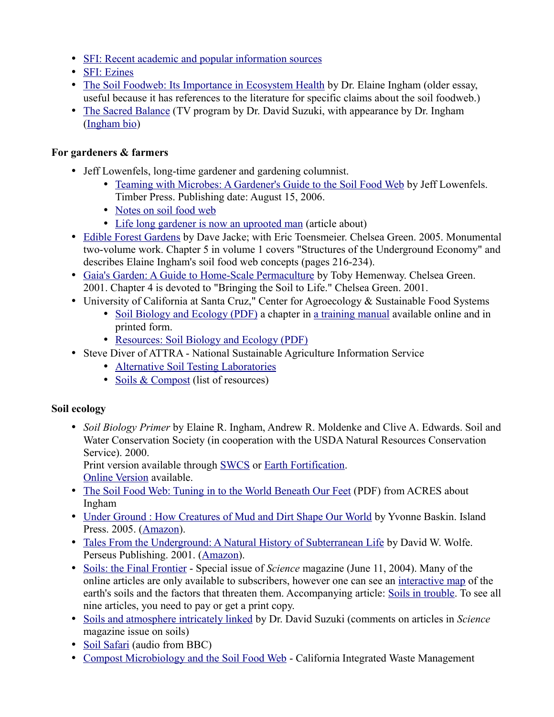- • [SFI: Recent academic and popular information sources](http://www.soilfoodweb.com/03_about_us/approach_pgs/a_10_recent_papers.html)
- • [SFI: Ezines](http://www.soilfoodweb.com/04_news/e-zine_archive.htm)
- [The Soil Foodweb: Its Importance in Ecosystem Health](http://www.rain.org/~sals/ingham.html) by Dr. Elaine Ingham (older essay, useful because it has references to the literature for specific claims about the soil foodweb.)
- • [The Sacred Balance](http://www.sacredbalance.com/web/drilldown.html?sku=82) (TV program by Dr. David Suzuki, with appearance by Dr. Ingham [\(Ingham bio\)](http://www.sacredbalance.com/web/person.html?linkname=Elaine_Ingham)

## **For gardeners & farmers**

- Jeff Lowenfels, long-time gardener and gardening columnist.
	- • [Teaming with Microbes: A Gardener's Guide to the Soil Food Web](http://www.timberpress.com/books/isbn.cfm/0-88192-777-5/teaming_microbes/lowenfels) by Jeff Lowenfels. Timber Press. Publishing date: August 15, 2006.
	- • [Notes on soil food web](http://www.alaskahumus.com/JeffsLectureNotes.htm)
	- [Life long gardener is now an uprooted man](http://www.adn.com/life/story/7361973p-7274110c.html) (article about)
- • [Edible Forest Gardens](http://www.chelseagreen.com/2005/items/edibleforestset) by Dave Jacke; with Eric Toensmeier. Chelsea Green. 2005. Monumental two-volume work. Chapter 5 in volume 1 covers "Structures of the Underground Economy" and describes Elaine Ingham's soil food web concepts (pages 216-234).
- • [Gaia's Garden: A Guide to Home-Scale Permaculture](http://www.chelseagreen.com/2001/items/gaiasgarden) by Toby Hemenway. Chelsea Green. 2001. Chapter 4 is devoted to "Bringing the Soil to Life." Chelsea Green. 2001.
- University of California at Santa Cruz," Center for Agroecology & Sustainable Food Systems
	- • [Soil Biology and Ecology \(PDF\)](http://zzyx.ucsc.edu/casfs/instruction/tofg/download/unit_2.3_soilecology.pdf) a chapter in [a training manual](http://zzyx.ucsc.edu/casfs/instruction/tofg/index.html) available online and in printed form.
	- • [Resources: Soil Biology and Ecology \(PDF\)](http://zzyx.ucsc.edu/casfs/instruction/esa/download/05c-Soil_Bio.pdf)
- Steve Diver of ATTRA National Sustainable Agriculture Information Service
	- • [Alternative Soil Testing Laboratories](http://www.attra.org/attra-pub/soil-lab.html)
	- • [Soils & Compost](http://www.attra.org/soils.html) (list of resources)

## **Soil ecology**

• *Soil Biology Primer* by Elaine R. Ingham, Andrew R. Moldenke and Clive A. Edwards. Soil and Water Conservation Society (in cooperation with the USDA Natural Resources Conservation Service). 2000.

Print version available through [SWCS](http://www.swcs.org/en/publications/books/soil_biology_primer.cfm) or [Earth Fortification.](http://www.earthfort.com/)

[Online Version](http://soils.usda.gov/sqi/concepts/soil_biology/biology.html) available.

- • [The Soil Food Web: Tuning in to the World Beneath Our Feet](http://www.acresusa.com/toolbox/reprints/soilfoodweb_apr00.pdf) (PDF) from ACRES about Ingham
- • [Under Ground : How Creatures of Mud and Dirt Shape Our World](http://www.islandpress.org/media/PDF/BaskinPR.pdf) by Yvonne Baskin. Island Press. 2005. [\(Amazon\)](http://www.amazon.com/gp/product/1597260037/103-3865218-3297453?v=glance&n=283155).
- • [Tales From the Underground: A Natural History of Subterranean Life](http://www.hort.cornell.edu/department/faculty/wolfe/book.html) by David W. Wolfe. Perseus Publishing. 2001. [\(Amazon\)](http://www.amazon.com/gp/product/0738206792/103-3865218-3297453?v=glance&n=283155).
- • [Soils: the Final Frontier](http://www.sciencemag.org/cgi/content/summary/304/5677/1613)  Special issue of *Science* magazine (June 11, 2004). Many of the online articles are only available to subscribers, however one can see an [interactive map](http://www.sciencemag.org/cgi/content/full/304/5677/1616/DC1) of the earth's soils and the factors that threaten them. Accompanying article: [Soils in trouble.](http://www.sciencemag.org/cgi/content/summary/sci;304/5677/1614) To see all nine articles, you need to pay or get a print copy.
- • [Soils and atmosphere intricately linked](http://www.davidsuzuki.org/about_us/Dr_David_Suzuki/Article_Archives/weekly06180401.asp) by Dr. David Suzuki (comments on articles in *Science* magazine issue on soils)
- • [Soil Safari](http://www.bbc.co.uk/radio4/science/underground_20031201.shtml) (audio from BBC)
- [Compost Microbiology and the Soil Food Web](http://www.ciwmb.ca.gov/publications/default.asp?pubid=857)  California Integrated Waste Management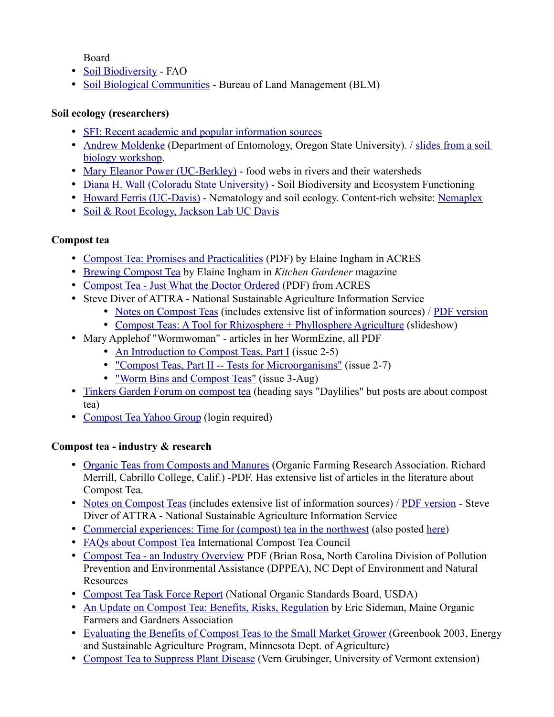Board

- • [Soil Biodiversity](http://www.fao.org/ag/agl/agll/soilbiod/default.stm)  FAO
- [Soil Biological Communities](http://www.blm.gov/nstc/soil/index.html)  Bureau of Land Management (BLM)

#### **Soil ecology (researchers)**

- • [SFI: Recent academic and popular information sources](http://www.soilfoodweb.com/03_about_us/approach_pgs/a_10_recent_papers.html)
- • [Andrew Moldenke](http://www.ent.orst.edu/moldenka/) (Department of Entomology, Oregon State University). / [slides from a soil](http://www.puyallup.wsu.edu/soilmgmt/Slideshows/SS-SoilBiolWS/AndyM.pdf) [biology workshop.](http://www.puyallup.wsu.edu/soilmgmt/Slideshows/SS-SoilBiolWS/AndyM.pdf)
- • [Mary Eleanor Power \(UC-Berkley\)](http://ib.berkeley.edu/labs/power/)  food webs in rivers and their watersheds
- [Diana H. Wall \(Coloradu State University\)](http://www.nrel.colostate.edu/projects/soil/index.html)  Soil Biodiversity and Ecosystem Functioning
- [Howard Ferris \(UC-Davis\)](http://ucdnema.ucdavis.edu/Ferris.html)  Nematology and soil ecology. Content-rich website: [Nemaplex](http://plpnemweb.ucdavis.edu/nemaplex/nemaplex.htm)
- • [Soil & Root Ecology, Jackson Lab UC Davis](http://groups.ucanr.org/jacksonlab/)

### **Compost tea**

- • [Compost Tea: Promises and Practicalities](http://www.acresusa.com/toolbox/reprints/Dec03_Compost%20Teas.pdf) (PDF) by Elaine Ingham in ACRES
- • [Brewing Compost Tea](http://www.taunton.com/finegardening/pages/g00030.asp) by Elaine Ingham in *Kitchen Gardener* magazine
- • [Compost Tea Just What the Doctor Ordered](http://www.acresusa.com/toolbox/reprints/composttea_feb01.pdf) (PDF) from ACRES
- Steve Diver of ATTRA National Sustainable Agriculture Information Service
	- • [Notes on Compost Teas](http://www.attra.org/attra-pub/compost-tea-notes.html) (includes extensive list of information sources) / [PDF version](http://www.attra.org/attra-pub/PDF/compost-tea-notes.pdf)
	- • [Compost Teas: A Tool for Rhizosphere + Phyllosphere Agriculture](http://www.attra.org/attra-pub/compostteashow/compost-tea-slides/sld001.htm) (slideshow)
- Mary Applehof "Wormwoman" articles in her WormEzine, all PDF
	- • [An Introduction to Compost Teas, Part I](http://www.wormwoman.com/acatalog/WormEzine_2-5.pdf) (issue 2-5)
	- ["Compost Teas, Part II -- Tests for Microorganisms"](http://www.wormwoman.com/acatalog/WormEzine_2-7.pdf) (issue 2-7)
	- ["Worm Bins and Compost Teas"](http://www.wormwoman.com/acatalog/WormEzine_Vol_3_Aug_2002.pdf) (issue 3-Aug)
- • [Tinkers Garden Forum on compost tea](http://forums.tinkersgardens.com/forum_posts.asp?TID=1739) (heading says "Daylilies" but posts are about compost tea)
- • [Compost Tea Yahoo Group](http://groups.yahoo.com/group/compost_tea/) (login required)

### **Compost tea - industry & research**

- • [Organic Teas from Composts and Manures](http://www.ofrf.org/publications/Grant%20reports/97.40.10.Merrill.Fall97.IB9.pdf) (Organic Farming Research Association. Richard Merrill, Cabrillo College, Calif.) -PDF. Has extensive list of articles in the literature about Compost Tea.
- • [Notes on Compost Teas](http://www.attra.org/attra-pub/compost-tea-notes.html) (includes extensive list of information sources) / [PDF version](http://www.attra.org/attra-pub/PDF/compost-tea-notes.pdf)  Steve Diver of ATTRA - National Sustainable Agriculture Information Service
- • [Commercial experiences: Time for \(compost\) tea in the northwest](http://www.jgpress.com/BCArticles/2000/100074.html) (also posted [here\)](http://growingsolutions.com/home/gs1/page/121/13)
- • [FAQs about Compost Tea](http://www.intlctc.org/faq2.htm) International Compost Tea Council
- [Compost Tea an Industry Overview](http://www.p2pays.org/compost/Presentations/CompostTeaPresentationBRosa.pdf) PDF (Brian Rosa, North Carolina Division of Pollution Prevention and Environmental Assistance (DPPEA), NC Dept of Environment and Natural Resources
- • [Compost Tea Task Force Report](http://www.ams.usda.gov/nosb/meetings/CompostTeaTaskForceFinalReport.pdf) (National Organic Standards Board, USDA)
- [An Update on Compost Tea: Benefits, Risks, Regulation](http://www.mofga.org/mofgm04c.html) by Eric Sideman, Maine Organic Farmers and Gardners Association
- • [Evaluating the Benefits of Compost Teas to the Small Market Grower \(](http://www.mda.state.mn.us/esap/greenbook2003/fruitsveg1.pdf)Greenbook 2003, Energy and Sustainable Agriculture Program, Minnesota Dept. of Agriculture)
- • [Compost Tea to Suppress Plant Disease](http://www.uvm.edu/vtvegandberry/factsheets/composttea.html) (Vern Grubinger, University of Vermont extension)